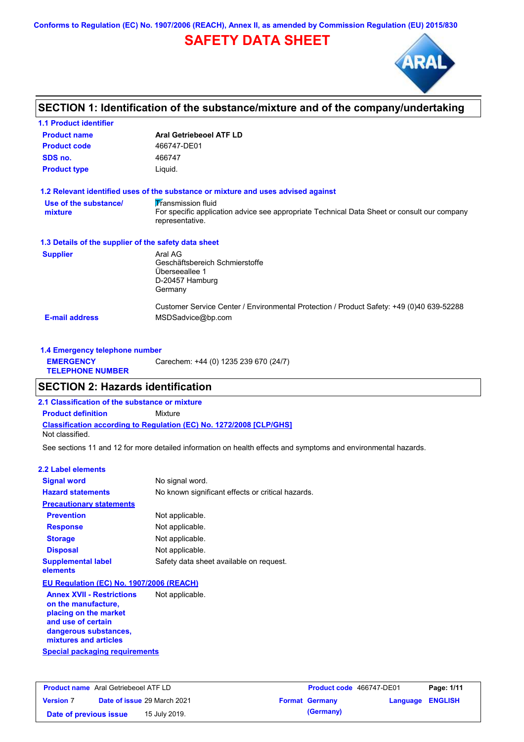**Conforms to Regulation (EC) No. 1907/2006 (REACH), Annex II, as amended by Commission Regulation (EU) 2015/830**

# **SAFETY DATA SHEET**



# **SECTION 1: Identification of the substance/mixture and of the company/undertaking**

| <b>1.1 Product identifier</b>                        |                                                                                                                |
|------------------------------------------------------|----------------------------------------------------------------------------------------------------------------|
| <b>Product name</b>                                  | <b>Aral Getriebeoel ATF LD</b>                                                                                 |
| <b>Product code</b>                                  | 466747-DE01                                                                                                    |
| SDS no.                                              | 466747                                                                                                         |
| <b>Product type</b>                                  | Liquid.                                                                                                        |
|                                                      | 1.2 Relevant identified uses of the substance or mixture and uses advised against                              |
| Use of the substance/                                | <b>Transmission fluid</b>                                                                                      |
| mixture                                              | For specific application advice see appropriate Technical Data Sheet or consult our company<br>representative. |
| 1.3 Details of the supplier of the safety data sheet |                                                                                                                |
| <b>Supplier</b>                                      | Aral AG                                                                                                        |
|                                                      | Geschäftsbereich Schmierstoffe                                                                                 |
|                                                      | Überseeallee 1                                                                                                 |
|                                                      | D-20457 Hamburg                                                                                                |
|                                                      | Germany                                                                                                        |
|                                                      | Customer Service Center / Environmental Protection / Product Safety: +49 (0)40 639-52288                       |
| <b>E-mail address</b>                                | MSDSadvice@bp.com                                                                                              |
|                                                      |                                                                                                                |

| 1.4 Emergency telephone number              |                                       |  |
|---------------------------------------------|---------------------------------------|--|
| <b>EMERGENCY</b><br><b>TELEPHONE NUMBER</b> | Carechem: +44 (0) 1235 239 670 (24/7) |  |

## **SECTION 2: Hazards identification**

**2.1 Classification of the substance or mixture**

**Classification according to Regulation (EC) No. 1272/2008 [CLP/GHS] Product definition** Mixture

Not classified.

See sections 11 and 12 for more detailed information on health effects and symptoms and environmental hazards.

### **2.2 Label elements**

| <b>Signal word</b>                       | No signal word.                                   |
|------------------------------------------|---------------------------------------------------|
| <b>Hazard statements</b>                 | No known significant effects or critical hazards. |
| <b>Precautionary statements</b>          |                                                   |
| <b>Prevention</b>                        | Not applicable.                                   |
| <b>Response</b>                          | Not applicable.                                   |
| <b>Storage</b>                           | Not applicable.                                   |
| <b>Disposal</b>                          | Not applicable.                                   |
| <b>Supplemental label</b><br>elements    | Safety data sheet available on request.           |
| EU Regulation (EC) No. 1907/2006 (REACH) |                                                   |
| <b>Annex XVII - Restrictions</b>         | Not applicable.                                   |

**Special packaging requirements on the manufacture, placing on the market and use of certain dangerous substances, mixtures and articles**

| <b>Product name</b> Aral Getriebeoel ATF LD |                                    | <b>Product code</b> 466747-DE01 |                         | Page: 1/11 |
|---------------------------------------------|------------------------------------|---------------------------------|-------------------------|------------|
| <b>Version 7</b>                            | <b>Date of issue 29 March 2021</b> | <b>Format Germany</b>           | <b>Language ENGLISH</b> |            |
| Date of previous issue                      | 15 July 2019.                      | (Germany)                       |                         |            |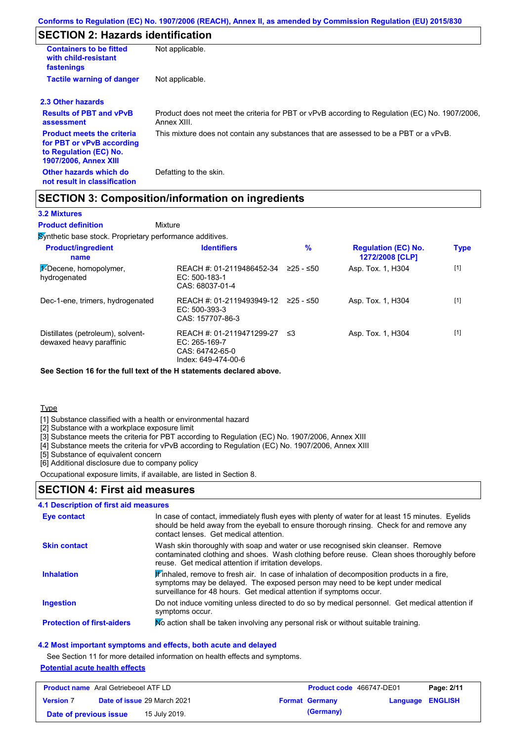# **SECTION 2: Hazards identification**

| <b>Containers to be fitted</b><br>with child-resistant<br>fastenings                                                     | Not applicable.                                                                                               |
|--------------------------------------------------------------------------------------------------------------------------|---------------------------------------------------------------------------------------------------------------|
| <b>Tactile warning of danger</b>                                                                                         | Not applicable.                                                                                               |
| 2.3 Other hazards                                                                                                        |                                                                                                               |
| <b>Results of PBT and vPvB</b><br>assessment                                                                             | Product does not meet the criteria for PBT or vPvB according to Regulation (EC) No. 1907/2006,<br>Annex XIII. |
| <b>Product meets the criteria</b><br>for PBT or vPvB according<br>to Regulation (EC) No.<br><b>1907/2006, Annex XIII</b> | This mixture does not contain any substances that are assessed to be a PBT or a vPvB.                         |
| Other hazards which do<br>not result in classification                                                                   | Defatting to the skin.                                                                                        |

## **SECTION 3: Composition/information on ingredients**

### **3.2 Mixtures**

Mixture **Product definition**

**Synthetic base stock. Proprietary performance additives.** 

| <b>Product/ingredient</b><br>name                             | <b>Identifiers</b>                                                                   | $\%$        | <b>Regulation (EC) No.</b><br>1272/2008 [CLP] | <b>Type</b> |
|---------------------------------------------------------------|--------------------------------------------------------------------------------------|-------------|-----------------------------------------------|-------------|
| $\frac{1}{2}$ -Decene, homopolymer,<br>hydrogenated           | REACH #: 01-2119486452-34<br>$EC: 500-183-1$<br>CAS: 68037-01-4                      | $≥25 - ≤50$ | Asp. Tox. 1, H304                             | $[1]$       |
| Dec-1-ene, trimers, hydrogenated                              | REACH #: 01-2119493949-12<br>$EC: 500-393-3$<br>CAS: 157707-86-3                     | 225 - ≤50   | Asp. Tox. 1, H304                             | $[1]$       |
| Distillates (petroleum), solvent-<br>dewaxed heavy paraffinic | REACH #: 01-2119471299-27<br>EC: 265-169-7<br>CAS: 64742-65-0<br>Index: 649-474-00-6 | ≤3          | Asp. Tox. 1, H304                             | $[1]$       |

**See Section 16 for the full text of the H statements declared above.**

**Type** 

[1] Substance classified with a health or environmental hazard

[2] Substance with a workplace exposure limit

[3] Substance meets the criteria for PBT according to Regulation (EC) No. 1907/2006, Annex XIII

[4] Substance meets the criteria for vPvB according to Regulation (EC) No. 1907/2006, Annex XIII

[5] Substance of equivalent concern

[6] Additional disclosure due to company policy

Occupational exposure limits, if available, are listed in Section 8.

## **SECTION 4: First aid measures**

### **4.1 Description of first aid measures**

| <b>Eye contact</b>                | In case of contact, immediately flush eyes with plenty of water for at least 15 minutes. Eyelids<br>should be held away from the eyeball to ensure thorough rinsing. Check for and remove any<br>contact lenses. Get medical attention.           |
|-----------------------------------|---------------------------------------------------------------------------------------------------------------------------------------------------------------------------------------------------------------------------------------------------|
| <b>Skin contact</b>               | Wash skin thoroughly with soap and water or use recognised skin cleanser. Remove<br>contaminated clothing and shoes. Wash clothing before reuse. Clean shoes thoroughly before<br>reuse. Get medical attention if irritation develops.            |
| <b>Inhalation</b>                 | Finhaled, remove to fresh air. In case of inhalation of decomposition products in a fire,<br>symptoms may be delayed. The exposed person may need to be kept under medical<br>surveillance for 48 hours. Get medical attention if symptoms occur. |
| <b>Ingestion</b>                  | Do not induce vomiting unless directed to do so by medical personnel. Get medical attention if<br>symptoms occur.                                                                                                                                 |
| <b>Protection of first-aiders</b> | No action shall be taken involving any personal risk or without suitable training.                                                                                                                                                                |

### **4.2 Most important symptoms and effects, both acute and delayed**

See Section 11 for more detailed information on health effects and symptoms.

### **Potential acute health effects**

| <b>Product name</b> Aral Getriebeoel ATF LD |                                    | <b>Product code</b> 466747-DE01 |                         | Page: 2/11 |
|---------------------------------------------|------------------------------------|---------------------------------|-------------------------|------------|
| <b>Version 7</b>                            | <b>Date of issue 29 March 2021</b> | <b>Format Germany</b>           | <b>Language ENGLISH</b> |            |
| Date of previous issue                      | 15 July 2019.                      | (Germany)                       |                         |            |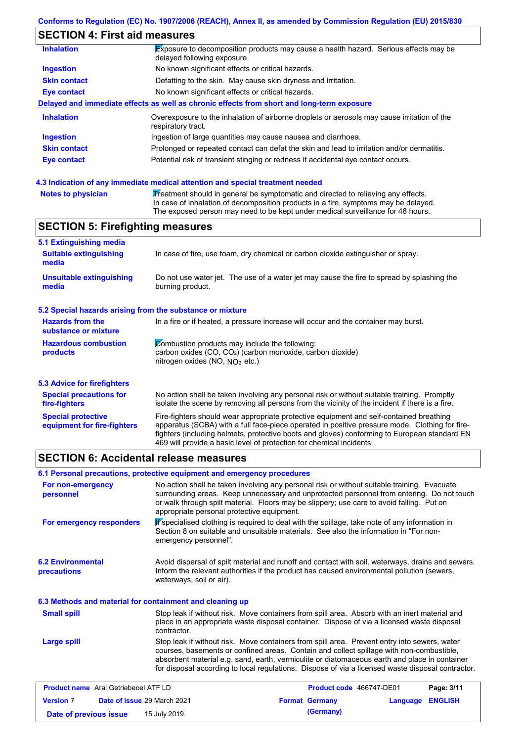### **Conforms to Regulation (EC) No. 1907/2006 (REACH), Annex II, as amended by Commission Regulation (EU) 2015/830**

# **SECTION 4: First aid measures**

| <b>Inhalation</b>   | Exposure to decomposition products may cause a health hazard. Serious effects may be<br>delayed following exposure. |
|---------------------|---------------------------------------------------------------------------------------------------------------------|
| <b>Ingestion</b>    | No known significant effects or critical hazards.                                                                   |
| <b>Skin contact</b> | Defatting to the skin. May cause skin dryness and irritation.                                                       |
| Eye contact         | No known significant effects or critical hazards.                                                                   |
|                     | Delayed and immediate effects as well as chronic effects from short and long-term exposure                          |
| <b>Inhalation</b>   | Overexposure to the inhalation of airborne droplets or aerosols may cause irritation of the<br>respiratory tract.   |
| <b>Ingestion</b>    | Ingestion of large quantities may cause nausea and diarrhoea.                                                       |
| <b>Skin contact</b> | Prolonged or repeated contact can defat the skin and lead to irritation and/or dermatitis.                          |
| Eye contact         | Potential risk of transient stinging or redness if accidental eye contact occurs.                                   |
|                     |                                                                                                                     |

### **4.3 Indication of any immediate medical attention and special treatment needed**

| <b>Notes to physician</b> | Treatment should in general be symptomatic and directed to relieving any effects.   |
|---------------------------|-------------------------------------------------------------------------------------|
|                           | In case of inhalation of decomposition products in a fire, symptoms may be delayed. |
|                           | The exposed person may need to be kept under medical surveillance for 48 hours.     |

# **SECTION 5: Firefighting measures**

| 5.1 Extinguishing media                                                                                                                                                                                  |                                                                                                                                                                                                                                                                                                                                                                   |
|----------------------------------------------------------------------------------------------------------------------------------------------------------------------------------------------------------|-------------------------------------------------------------------------------------------------------------------------------------------------------------------------------------------------------------------------------------------------------------------------------------------------------------------------------------------------------------------|
| <b>Suitable extinguishing</b><br>media                                                                                                                                                                   | In case of fire, use foam, dry chemical or carbon dioxide extinguisher or spray.                                                                                                                                                                                                                                                                                  |
| <b>Unsuitable extinguishing</b><br>media                                                                                                                                                                 | Do not use water jet. The use of a water jet may cause the fire to spread by splashing the<br>burning product.                                                                                                                                                                                                                                                    |
| 5.2 Special hazards arising from the substance or mixture                                                                                                                                                |                                                                                                                                                                                                                                                                                                                                                                   |
| <b>Hazards from the</b><br>In a fire or if heated, a pressure increase will occur and the container may burst.<br>substance or mixture                                                                   |                                                                                                                                                                                                                                                                                                                                                                   |
| Combustion products may include the following:<br><b>Hazardous combustion</b><br>carbon oxides (CO, CO <sub>2</sub> ) (carbon monoxide, carbon dioxide)<br>products<br>nitrogen oxides (NO, $NQ_2$ etc.) |                                                                                                                                                                                                                                                                                                                                                                   |
| 5.3 Advice for firefighters                                                                                                                                                                              |                                                                                                                                                                                                                                                                                                                                                                   |
| <b>Special precautions for</b><br>fire-fighters                                                                                                                                                          | No action shall be taken involving any personal risk or without suitable training. Promptly<br>isolate the scene by removing all persons from the vicinity of the incident if there is a fire.                                                                                                                                                                    |
| <b>Special protective</b><br>equipment for fire-fighters                                                                                                                                                 | Fire-fighters should wear appropriate protective equipment and self-contained breathing<br>apparatus (SCBA) with a full face-piece operated in positive pressure mode. Clothing for fire-<br>fighters (including helmets, protective boots and gloves) conforming to European standard EN<br>469 will provide a basic level of protection for chemical incidents. |

## **SECTION 6: Accidental release measures**

**Version** 7

|                                                          | 6.1 Personal precautions, protective equipment and emergency procedures                                                                                                                                                                                                                                                                                                                        |  |  |  |  |
|----------------------------------------------------------|------------------------------------------------------------------------------------------------------------------------------------------------------------------------------------------------------------------------------------------------------------------------------------------------------------------------------------------------------------------------------------------------|--|--|--|--|
| For non-emergency<br>personnel                           | No action shall be taken involving any personal risk or without suitable training. Evacuate<br>surrounding areas. Keep unnecessary and unprotected personnel from entering. Do not touch<br>or walk through spilt material. Floors may be slippery; use care to avoid falling. Put on<br>appropriate personal protective equipment.                                                            |  |  |  |  |
| For emergency responders                                 | Pspecialised clothing is required to deal with the spillage, take note of any information in<br>Section 8 on suitable and unsuitable materials. See also the information in "For non-<br>emergency personnel".                                                                                                                                                                                 |  |  |  |  |
| <b>6.2 Environmental</b><br>precautions                  | Avoid dispersal of spilt material and runoff and contact with soil, waterways, drains and sewers.<br>Inform the relevant authorities if the product has caused environmental pollution (sewers,<br>waterways, soil or air).                                                                                                                                                                    |  |  |  |  |
| 6.3 Methods and material for containment and cleaning up |                                                                                                                                                                                                                                                                                                                                                                                                |  |  |  |  |
| <b>Small spill</b>                                       | Stop leak if without risk. Move containers from spill area. Absorb with an inert material and<br>place in an appropriate waste disposal container. Dispose of via a licensed waste disposal<br>contractor.                                                                                                                                                                                     |  |  |  |  |
| <b>Large spill</b>                                       | Stop leak if without risk. Move containers from spill area. Prevent entry into sewers, water<br>courses, basements or confined areas. Contain and collect spillage with non-combustible,<br>absorbent material e.g. sand, earth, vermiculite or diatomaceous earth and place in container<br>for disposal according to local regulations. Dispose of via a licensed waste disposal contractor. |  |  |  |  |
| <b>Product name</b> Aral Getriebeoel ATF LD              | Product code 466747-DE01<br>Page: 3/11                                                                                                                                                                                                                                                                                                                                                         |  |  |  |  |

**Date of issue** 29 March 2021 **Format Germany Language ENGLISH**

**Date of previous issue 15 July 2019. (Germany) (Germany)**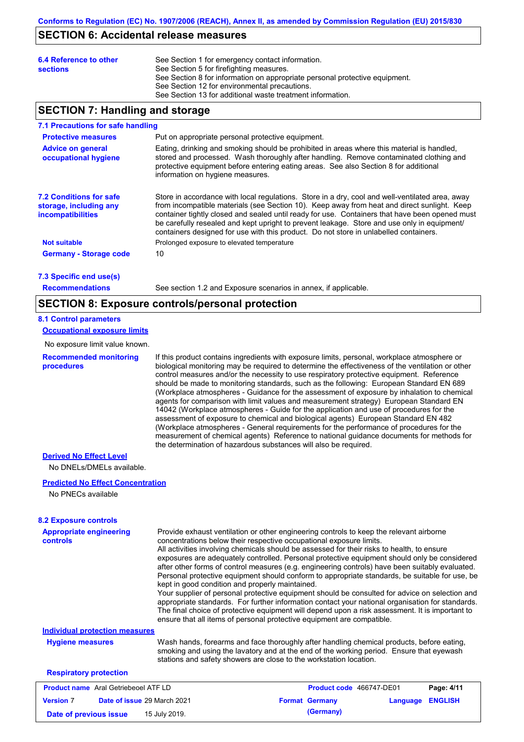## **SECTION 6: Accidental release measures**

| 6.4 Reference to other<br><b>sections</b> | See Section 1 for emergency contact information.<br>See Section 5 for firefighting measures.<br>See Section 8 for information on appropriate personal protective equipment.<br>See Section 12 for environmental precautions.<br>See Section 13 for additional waste treatment information. |
|-------------------------------------------|--------------------------------------------------------------------------------------------------------------------------------------------------------------------------------------------------------------------------------------------------------------------------------------------|
|                                           |                                                                                                                                                                                                                                                                                            |

## **SECTION 7: Handling and storage**

### **7.1 Precautions for safe handling**

| <b>Protective measures</b>                                                    | Put on appropriate personal protective equipment.                                                                                                                                                                                                                                                                                                                                                                                                                                        |
|-------------------------------------------------------------------------------|------------------------------------------------------------------------------------------------------------------------------------------------------------------------------------------------------------------------------------------------------------------------------------------------------------------------------------------------------------------------------------------------------------------------------------------------------------------------------------------|
| <b>Advice on general</b><br>occupational hygiene                              | Eating, drinking and smoking should be prohibited in areas where this material is handled,<br>stored and processed. Wash thoroughly after handling. Remove contaminated clothing and<br>protective equipment before entering eating areas. See also Section 8 for additional<br>information on hygiene measures.                                                                                                                                                                         |
| <b>7.2 Conditions for safe</b><br>storage, including any<br>incompatibilities | Store in accordance with local regulations. Store in a dry, cool and well-ventilated area, away<br>from incompatible materials (see Section 10). Keep away from heat and direct sunlight. Keep<br>container tightly closed and sealed until ready for use. Containers that have been opened must<br>be carefully resealed and kept upright to prevent leakage. Store and use only in equipment/<br>containers designed for use with this product. Do not store in unlabelled containers. |
| <b>Not suitable</b>                                                           | Prolonged exposure to elevated temperature                                                                                                                                                                                                                                                                                                                                                                                                                                               |
| <b>Germany - Storage code</b>                                                 | 10                                                                                                                                                                                                                                                                                                                                                                                                                                                                                       |

**7.3 Specific end use(s)**

**Recommendations**

See section 1.2 and Exposure scenarios in annex, if applicable.

### **SECTION 8: Exposure controls/personal protection**

#### **8.1 Control parameters**

**Occupational exposure limits**

No exposure limit value known.

**Recommended monitoring procedures**

If this product contains ingredients with exposure limits, personal, workplace atmosphere or biological monitoring may be required to determine the effectiveness of the ventilation or other control measures and/or the necessity to use respiratory protective equipment. Reference should be made to monitoring standards, such as the following: European Standard EN 689 (Workplace atmospheres - Guidance for the assessment of exposure by inhalation to chemical agents for comparison with limit values and measurement strategy) European Standard EN 14042 (Workplace atmospheres - Guide for the application and use of procedures for the assessment of exposure to chemical and biological agents) European Standard EN 482 (Workplace atmospheres - General requirements for the performance of procedures for the measurement of chemical agents) Reference to national guidance documents for methods for the determination of hazardous substances will also be required.

### **Derived No Effect Level**

No DNELs/DMELs available.

### **Predicted No Effect Concentration**

No PNECs available

### **8.2 Exposure controls**

| <b>Appropriate engineering</b><br><b>controls</b> | Provide exhaust ventilation or other engineering controls to keep the relevant airborne<br>concentrations below their respective occupational exposure limits.<br>All activities involving chemicals should be assessed for their risks to health, to ensure<br>exposures are adequately controlled. Personal protective equipment should only be considered<br>after other forms of control measures (e.g. engineering controls) have been suitably evaluated.<br>Personal protective equipment should conform to appropriate standards, be suitable for use, be<br>kept in good condition and properly maintained.<br>Your supplier of personal protective equipment should be consulted for advice on selection and<br>appropriate standards. For further information contact your national organisation for standards.<br>The final choice of protective equipment will depend upon a risk assessment. It is important to<br>ensure that all items of personal protective equipment are compatible. |                                 |          |                |
|---------------------------------------------------|---------------------------------------------------------------------------------------------------------------------------------------------------------------------------------------------------------------------------------------------------------------------------------------------------------------------------------------------------------------------------------------------------------------------------------------------------------------------------------------------------------------------------------------------------------------------------------------------------------------------------------------------------------------------------------------------------------------------------------------------------------------------------------------------------------------------------------------------------------------------------------------------------------------------------------------------------------------------------------------------------------|---------------------------------|----------|----------------|
| <b>Individual protection measures</b>             |                                                                                                                                                                                                                                                                                                                                                                                                                                                                                                                                                                                                                                                                                                                                                                                                                                                                                                                                                                                                         |                                 |          |                |
| <b>Hygiene measures</b>                           | Wash hands, forearms and face thoroughly after handling chemical products, before eating,<br>smoking and using the lavatory and at the end of the working period. Ensure that eyewash<br>stations and safety showers are close to the workstation location.                                                                                                                                                                                                                                                                                                                                                                                                                                                                                                                                                                                                                                                                                                                                             |                                 |          |                |
| <b>Respiratory protection</b>                     |                                                                                                                                                                                                                                                                                                                                                                                                                                                                                                                                                                                                                                                                                                                                                                                                                                                                                                                                                                                                         |                                 |          |                |
| <b>Product name</b> Aral Getriebeoel ATF LD       |                                                                                                                                                                                                                                                                                                                                                                                                                                                                                                                                                                                                                                                                                                                                                                                                                                                                                                                                                                                                         | <b>Product code</b> 466747-DE01 |          | Page: 4/11     |
| Date of issue 29 March 2021<br><b>Version 7</b>   |                                                                                                                                                                                                                                                                                                                                                                                                                                                                                                                                                                                                                                                                                                                                                                                                                                                                                                                                                                                                         | <b>Format Germany</b>           | Language | <b>ENGLISH</b> |

**Date of previous issue 15 July 2019. (Germany) (Germany)**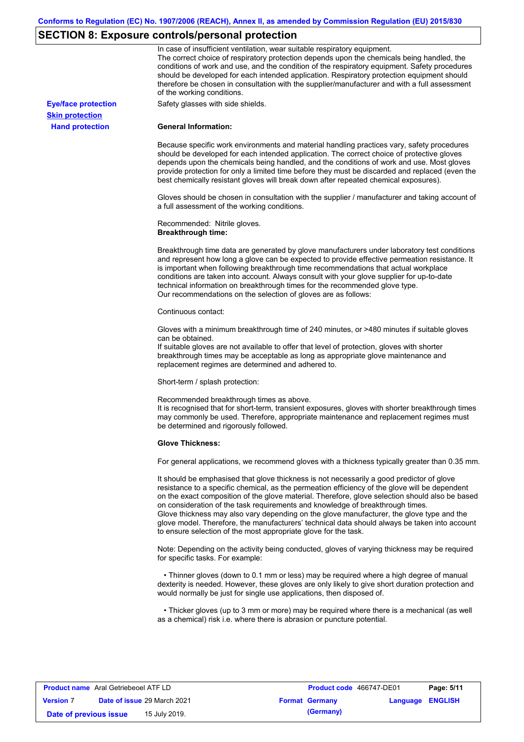# **SECTION 8: Exposure controls/personal protection**

|                            | In case of insufficient ventilation, wear suitable respiratory equipment.<br>The correct choice of respiratory protection depends upon the chemicals being handled, the<br>conditions of work and use, and the condition of the respiratory equipment. Safety procedures<br>should be developed for each intended application. Respiratory protection equipment should<br>therefore be chosen in consultation with the supplier/manufacturer and with a full assessment<br>of the working conditions.                                                                                                                                             |
|----------------------------|---------------------------------------------------------------------------------------------------------------------------------------------------------------------------------------------------------------------------------------------------------------------------------------------------------------------------------------------------------------------------------------------------------------------------------------------------------------------------------------------------------------------------------------------------------------------------------------------------------------------------------------------------|
| <b>Eye/face protection</b> | Safety glasses with side shields.                                                                                                                                                                                                                                                                                                                                                                                                                                                                                                                                                                                                                 |
| <b>Skin protection</b>     |                                                                                                                                                                                                                                                                                                                                                                                                                                                                                                                                                                                                                                                   |
| <b>Hand protection</b>     | <b>General Information:</b>                                                                                                                                                                                                                                                                                                                                                                                                                                                                                                                                                                                                                       |
|                            | Because specific work environments and material handling practices vary, safety procedures<br>should be developed for each intended application. The correct choice of protective gloves<br>depends upon the chemicals being handled, and the conditions of work and use. Most gloves<br>provide protection for only a limited time before they must be discarded and replaced (even the<br>best chemically resistant gloves will break down after repeated chemical exposures).                                                                                                                                                                  |
|                            | Gloves should be chosen in consultation with the supplier / manufacturer and taking account of<br>a full assessment of the working conditions.                                                                                                                                                                                                                                                                                                                                                                                                                                                                                                    |
|                            | Recommended: Nitrile gloves.<br><b>Breakthrough time:</b>                                                                                                                                                                                                                                                                                                                                                                                                                                                                                                                                                                                         |
|                            | Breakthrough time data are generated by glove manufacturers under laboratory test conditions<br>and represent how long a glove can be expected to provide effective permeation resistance. It<br>is important when following breakthrough time recommendations that actual workplace<br>conditions are taken into account. Always consult with your glove supplier for up-to-date<br>technical information on breakthrough times for the recommended glove type.<br>Our recommendations on the selection of gloves are as follows:                                                                                                                |
|                            | Continuous contact:                                                                                                                                                                                                                                                                                                                                                                                                                                                                                                                                                                                                                               |
|                            | Gloves with a minimum breakthrough time of 240 minutes, or >480 minutes if suitable gloves<br>can be obtained.<br>If suitable gloves are not available to offer that level of protection, gloves with shorter<br>breakthrough times may be acceptable as long as appropriate glove maintenance and<br>replacement regimes are determined and adhered to.                                                                                                                                                                                                                                                                                          |
|                            | Short-term / splash protection:                                                                                                                                                                                                                                                                                                                                                                                                                                                                                                                                                                                                                   |
|                            | Recommended breakthrough times as above.<br>It is recognised that for short-term, transient exposures, gloves with shorter breakthrough times<br>may commonly be used. Therefore, appropriate maintenance and replacement regimes must<br>be determined and rigorously followed.                                                                                                                                                                                                                                                                                                                                                                  |
|                            | <b>Glove Thickness:</b>                                                                                                                                                                                                                                                                                                                                                                                                                                                                                                                                                                                                                           |
|                            | For general applications, we recommend gloves with a thickness typically greater than 0.35 mm.                                                                                                                                                                                                                                                                                                                                                                                                                                                                                                                                                    |
|                            | It should be emphasised that glove thickness is not necessarily a good predictor of glove<br>resistance to a specific chemical, as the permeation efficiency of the glove will be dependent<br>on the exact composition of the glove material. Therefore, glove selection should also be based<br>on consideration of the task requirements and knowledge of breakthrough times.<br>Glove thickness may also vary depending on the glove manufacturer, the glove type and the<br>glove model. Therefore, the manufacturers' technical data should always be taken into account<br>to ensure selection of the most appropriate glove for the task. |
|                            | Note: Depending on the activity being conducted, gloves of varying thickness may be required<br>for specific tasks. For example:                                                                                                                                                                                                                                                                                                                                                                                                                                                                                                                  |
|                            | • Thinner gloves (down to 0.1 mm or less) may be required where a high degree of manual<br>dexterity is needed. However, these gloves are only likely to give short duration protection and<br>would normally be just for single use applications, then disposed of.                                                                                                                                                                                                                                                                                                                                                                              |
|                            | • Thicker gloves (up to 3 mm or more) may be required where there is a mechanical (as well<br>as a chemical) risk i.e. where there is abrasion or puncture potential.                                                                                                                                                                                                                                                                                                                                                                                                                                                                             |

| <b>Product name</b> Aral Getriebeoel ATF LD |                             | <b>Product code</b> 466747-DE01 |                         | Page: 5/11 |
|---------------------------------------------|-----------------------------|---------------------------------|-------------------------|------------|
| <b>Version 7</b>                            | Date of issue 29 March 2021 | <b>Format Germany</b>           | <b>Language ENGLISH</b> |            |
| Date of previous issue                      | 15 July 2019.               | (Germany)                       |                         |            |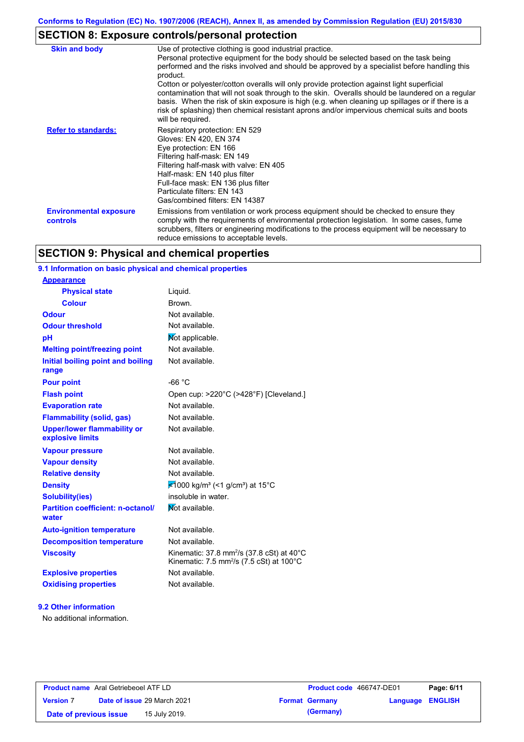# **SECTION 8: Exposure controls/personal protection**

| <b>Skin and body</b>                      | Use of protective clothing is good industrial practice.<br>Personal protective equipment for the body should be selected based on the task being<br>performed and the risks involved and should be approved by a specialist before handling this<br>product.<br>Cotton or polyester/cotton overalls will only provide protection against light superficial<br>contamination that will not soak through to the skin. Overalls should be laundered on a regular<br>basis. When the risk of skin exposure is high (e.g. when cleaning up spillages or if there is a<br>risk of splashing) then chemical resistant aprons and/or impervious chemical suits and boots<br>will be required. |
|-------------------------------------------|---------------------------------------------------------------------------------------------------------------------------------------------------------------------------------------------------------------------------------------------------------------------------------------------------------------------------------------------------------------------------------------------------------------------------------------------------------------------------------------------------------------------------------------------------------------------------------------------------------------------------------------------------------------------------------------|
| <b>Refer to standards:</b>                | Respiratory protection: EN 529<br>Gloves: EN 420, EN 374<br>Eye protection: EN 166<br>Filtering half-mask: EN 149<br>Filtering half-mask with valve: EN 405<br>Half-mask: EN 140 plus filter<br>Full-face mask: EN 136 plus filter<br>Particulate filters: EN 143<br>Gas/combined filters: EN 14387                                                                                                                                                                                                                                                                                                                                                                                   |
| <b>Environmental exposure</b><br>controls | Emissions from ventilation or work process equipment should be checked to ensure they<br>comply with the requirements of environmental protection legislation. In some cases, fume<br>scrubbers, filters or engineering modifications to the process equipment will be necessary to<br>reduce emissions to acceptable levels.                                                                                                                                                                                                                                                                                                                                                         |

# **SECTION 9: Physical and chemical properties**

## **9.1 Information on basic physical and chemical properties**

| <b>Appearance</b>                                      |                                                                                                                                    |
|--------------------------------------------------------|------------------------------------------------------------------------------------------------------------------------------------|
| <b>Physical state</b>                                  | Liquid.                                                                                                                            |
| <b>Colour</b>                                          | Brown.                                                                                                                             |
| <b>Odour</b>                                           | Not available.                                                                                                                     |
| <b>Odour threshold</b>                                 | Not available.                                                                                                                     |
| рH                                                     | Not applicable.                                                                                                                    |
| <b>Melting point/freezing point</b>                    | Not available.                                                                                                                     |
| Initial boiling point and boiling<br>range             | Not available.                                                                                                                     |
| <b>Pour point</b>                                      | $-66 °C$                                                                                                                           |
| <b>Flash point</b>                                     | Open cup: >220°C (>428°F) [Cleveland.]                                                                                             |
| <b>Evaporation rate</b>                                | Not available.                                                                                                                     |
| <b>Flammability (solid, gas)</b>                       | Not available.                                                                                                                     |
| <b>Upper/lower flammability or</b><br>explosive limits | Not available.                                                                                                                     |
| <b>Vapour pressure</b>                                 | Not available.                                                                                                                     |
| <b>Vapour density</b>                                  | Not available.                                                                                                                     |
| <b>Relative density</b>                                | Not available.                                                                                                                     |
| <b>Density</b>                                         | ₹1000 kg/m <sup>3</sup> (<1 g/cm <sup>3</sup> ) at 15°C                                                                            |
| <b>Solubility(ies)</b>                                 | insoluble in water.                                                                                                                |
| <b>Partition coefficient: n-octanol/</b><br>water      | Mot available.                                                                                                                     |
| <b>Auto-ignition temperature</b>                       | Not available.                                                                                                                     |
| <b>Decomposition temperature</b>                       | Not available.                                                                                                                     |
| <b>Viscosity</b>                                       | Kinematic: 37.8 mm <sup>2</sup> /s (37.8 cSt) at 40 $^{\circ}$ C<br>Kinematic: 7.5 mm <sup>2</sup> /s (7.5 cSt) at $100^{\circ}$ C |
| <b>Explosive properties</b>                            | Not available.                                                                                                                     |
| <b>Oxidising properties</b>                            | Not available.                                                                                                                     |

### **9.2 Other information**

No additional information.

|                        | <b>Product name</b> Aral Getriebeoel ATF LD | Product code 466747-DE01 | Page: 6/11              |
|------------------------|---------------------------------------------|--------------------------|-------------------------|
| <b>Version 7</b>       | Date of issue 29 March 2021                 | <b>Format Germany</b>    | <b>Language ENGLISH</b> |
| Date of previous issue | 15 July 2019.                               | (Germany)                |                         |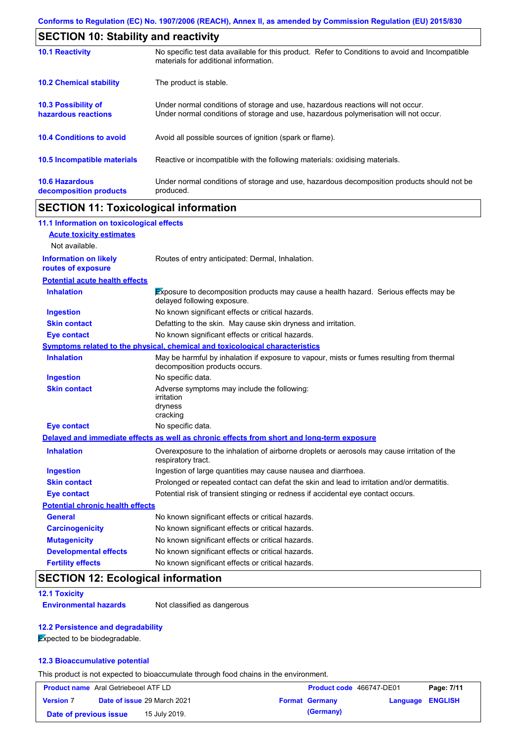| <b>SECTION 10: Stability and reactivity</b>       |                                                                                                                                                                         |  |  |
|---------------------------------------------------|-------------------------------------------------------------------------------------------------------------------------------------------------------------------------|--|--|
| <b>10.1 Reactivity</b>                            | No specific test data available for this product. Refer to Conditions to avoid and Incompatible<br>materials for additional information.                                |  |  |
| <b>10.2 Chemical stability</b>                    | The product is stable.                                                                                                                                                  |  |  |
| <b>10.3 Possibility of</b><br>hazardous reactions | Under normal conditions of storage and use, hazardous reactions will not occur.<br>Under normal conditions of storage and use, hazardous polymerisation will not occur. |  |  |
| <b>10.4 Conditions to avoid</b>                   | Avoid all possible sources of ignition (spark or flame).                                                                                                                |  |  |
| 10.5 Incompatible materials                       | Reactive or incompatible with the following materials: oxidising materials.                                                                                             |  |  |
| <b>10.6 Hazardous</b><br>decomposition products   | Under normal conditions of storage and use, hazardous decomposition products should not be<br>produced.                                                                 |  |  |

# **SECTION 11: Toxicological information**

| 11.1 Information on toxicological effects          |                                                                                                                             |
|----------------------------------------------------|-----------------------------------------------------------------------------------------------------------------------------|
| <b>Acute toxicity estimates</b>                    |                                                                                                                             |
| Not available.                                     |                                                                                                                             |
| <b>Information on likely</b><br>routes of exposure | Routes of entry anticipated: Dermal, Inhalation.                                                                            |
| <b>Potential acute health effects</b>              |                                                                                                                             |
| <b>Inhalation</b>                                  | Exposure to decomposition products may cause a health hazard. Serious effects may be<br>delayed following exposure.         |
| <b>Ingestion</b>                                   | No known significant effects or critical hazards.                                                                           |
| <b>Skin contact</b>                                | Defatting to the skin. May cause skin dryness and irritation.                                                               |
| <b>Eye contact</b>                                 | No known significant effects or critical hazards.                                                                           |
|                                                    | Symptoms related to the physical, chemical and toxicological characteristics                                                |
| <b>Inhalation</b>                                  | May be harmful by inhalation if exposure to vapour, mists or fumes resulting from thermal<br>decomposition products occurs. |
| <b>Ingestion</b>                                   | No specific data.                                                                                                           |
| <b>Skin contact</b>                                | Adverse symptoms may include the following:<br>irritation<br>dryness<br>cracking                                            |
| <b>Eye contact</b>                                 | No specific data.                                                                                                           |
|                                                    | Delayed and immediate effects as well as chronic effects from short and long-term exposure                                  |
| <b>Inhalation</b>                                  | Overexposure to the inhalation of airborne droplets or aerosols may cause irritation of the<br>respiratory tract.           |
| <b>Ingestion</b>                                   | Ingestion of large quantities may cause nausea and diarrhoea.                                                               |
| <b>Skin contact</b>                                | Prolonged or repeated contact can defat the skin and lead to irritation and/or dermatitis.                                  |
| <b>Eye contact</b>                                 | Potential risk of transient stinging or redness if accidental eye contact occurs.                                           |
| <b>Potential chronic health effects</b>            |                                                                                                                             |
| <b>General</b>                                     | No known significant effects or critical hazards.                                                                           |
| <b>Carcinogenicity</b>                             | No known significant effects or critical hazards.                                                                           |
| <b>Mutagenicity</b>                                | No known significant effects or critical hazards.                                                                           |
| <b>Developmental effects</b>                       | No known significant effects or critical hazards.                                                                           |
| <b>Fertility effects</b>                           | No known significant effects or critical hazards.                                                                           |

# **SECTION 12: Ecological information**

### **12.1 Toxicity**

**Environmental hazards** Not classified as dangerous

### **12.2 Persistence and degradability**

**Expected to be biodegradable.** 

### **12.3 Bioaccumulative potential**

This product is not expected to bioaccumulate through food chains in the environment.

| <b>Product name</b> Aral Getriebeoel ATF LD |                                    | <b>Product code 466747-DE01</b> |                  | Page: 7/11 |
|---------------------------------------------|------------------------------------|---------------------------------|------------------|------------|
| <b>Version 7</b>                            | <b>Date of issue 29 March 2021</b> | <b>Format Germany</b>           | Language ENGLISH |            |
| Date of previous issue                      | 15 July 2019.                      | (Germany)                       |                  |            |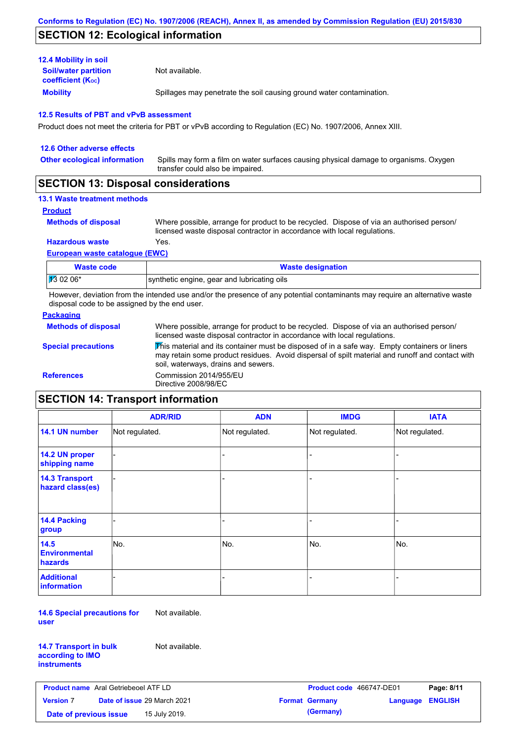# **SECTION 12: Ecological information**

| <b>12.4 Mobility in soil</b>                            |                                                                      |
|---------------------------------------------------------|----------------------------------------------------------------------|
| <b>Soil/water partition</b><br><b>coefficient (Koc)</b> | Not available.                                                       |
| <b>Mobility</b>                                         | Spillages may penetrate the soil causing ground water contamination. |

### **12.5 Results of PBT and vPvB assessment**

Product does not meet the criteria for PBT or vPvB according to Regulation (EC) No. 1907/2006, Annex XIII.

| 12.6 Other adverse effects          |                                                                                                                           |
|-------------------------------------|---------------------------------------------------------------------------------------------------------------------------|
| <b>Other ecological information</b> | Spills may form a film on water surfaces causing physical damage to organisms. Oxygen<br>transfer could also be impaired. |
|                                     |                                                                                                                           |

## **SECTION 13: Disposal considerations**

## **13.1 Waste treatment methods**

**Product**

```
Methods of disposal
```
Where possible, arrange for product to be recycled. Dispose of via an authorised person/ licensed waste disposal contractor in accordance with local regulations.

**Hazardous waste** Yes.

### **European waste catalogue (EWC)**

| Waste code           | <b>Waste designation</b>                    |
|----------------------|---------------------------------------------|
| $\frac{1}{3}$ 02 06* | synthetic engine, gear and lubricating oils |

However, deviation from the intended use and/or the presence of any potential contaminants may require an alternative waste disposal code to be assigned by the end user.

### **Packaging**

| Where possible, arrange for product to be recycled. Dispose of via an authorised person/<br>licensed waste disposal contractor in accordance with local regulations.                                                                    |
|-----------------------------------------------------------------------------------------------------------------------------------------------------------------------------------------------------------------------------------------|
| This material and its container must be disposed of in a safe way. Empty containers or liners<br>may retain some product residues. Avoid dispersal of spilt material and runoff and contact with<br>soil, waterways, drains and sewers. |
| Commission 2014/955/EU<br>Directive 2008/98/EC                                                                                                                                                                                          |
|                                                                                                                                                                                                                                         |

# **SECTION 14: Transport information**

|                                                | <b>ADR/RID</b> | <b>ADN</b>     | <b>IMDG</b>    | <b>IATA</b>    |
|------------------------------------------------|----------------|----------------|----------------|----------------|
| 14.1 UN number                                 | Not regulated. | Not regulated. | Not regulated. | Not regulated. |
| 14.2 UN proper<br>shipping name                |                |                | -              |                |
| <b>14.3 Transport</b><br>hazard class(es)      |                |                |                |                |
| 14.4 Packing<br>group                          |                |                |                |                |
| 14.5<br><b>Environmental</b><br><b>hazards</b> | No.            | No.            | No.            | No.            |
| <b>Additional</b><br>information               |                |                |                |                |

**14.6 Special precautions for user** Not available.

**14.7 Transport in bulk according to IMO instruments**

Not available.

| <b>Product name</b> Aral Getriebeoel ATF LD |  | <b>Product code</b> 466747-DE01 |  | Page: 8/11            |                         |  |
|---------------------------------------------|--|---------------------------------|--|-----------------------|-------------------------|--|
| <b>Version 7</b>                            |  | Date of issue 29 March 2021     |  | <b>Format Germany</b> | <b>Language ENGLISH</b> |  |
| Date of previous issue                      |  | 15 July 2019.                   |  | (Germany)             |                         |  |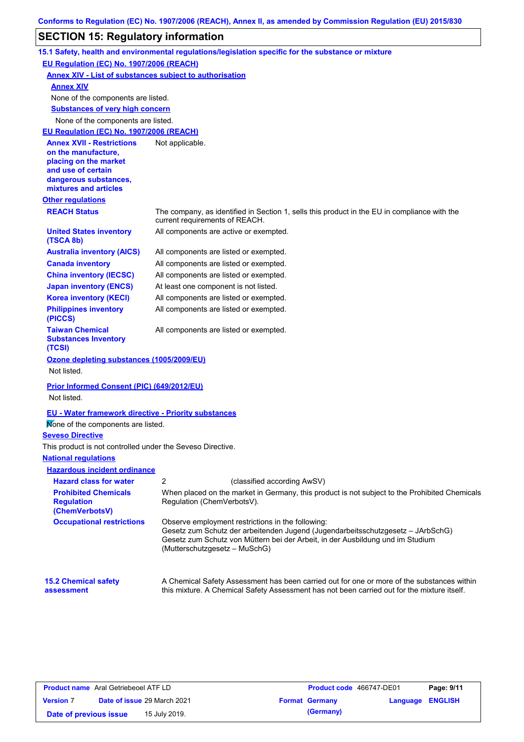# **SECTION 15: Regulatory information**

|                                                                    | 15.1 Safety, health and environmental regulations/legislation specific for the substance or mixture                                                                                                                                                     |
|--------------------------------------------------------------------|---------------------------------------------------------------------------------------------------------------------------------------------------------------------------------------------------------------------------------------------------------|
| EU Regulation (EC) No. 1907/2006 (REACH)                           |                                                                                                                                                                                                                                                         |
| <b>Annex XIV - List of substances subject to authorisation</b>     |                                                                                                                                                                                                                                                         |
| <b>Annex XIV</b>                                                   |                                                                                                                                                                                                                                                         |
| None of the components are listed.                                 |                                                                                                                                                                                                                                                         |
| <b>Substances of very high concern</b>                             |                                                                                                                                                                                                                                                         |
| None of the components are listed.                                 |                                                                                                                                                                                                                                                         |
| EU Regulation (EC) No. 1907/2006 (REACH)                           |                                                                                                                                                                                                                                                         |
| <b>Annex XVII - Restrictions</b>                                   | Not applicable.                                                                                                                                                                                                                                         |
| on the manufacture,<br>placing on the market                       |                                                                                                                                                                                                                                                         |
| and use of certain                                                 |                                                                                                                                                                                                                                                         |
| dangerous substances,                                              |                                                                                                                                                                                                                                                         |
| mixtures and articles                                              |                                                                                                                                                                                                                                                         |
| <b>Other regulations</b>                                           |                                                                                                                                                                                                                                                         |
| <b>REACH Status</b>                                                | The company, as identified in Section 1, sells this product in the EU in compliance with the<br>current requirements of REACH.                                                                                                                          |
| <b>United States inventory</b><br>(TSCA 8b)                        | All components are active or exempted.                                                                                                                                                                                                                  |
| <b>Australia inventory (AICS)</b>                                  | All components are listed or exempted.                                                                                                                                                                                                                  |
| <b>Canada inventory</b>                                            | All components are listed or exempted.                                                                                                                                                                                                                  |
| <b>China inventory (IECSC)</b>                                     | All components are listed or exempted.                                                                                                                                                                                                                  |
| <b>Japan inventory (ENCS)</b>                                      | At least one component is not listed.                                                                                                                                                                                                                   |
| <b>Korea inventory (KECI)</b>                                      | All components are listed or exempted.                                                                                                                                                                                                                  |
| <b>Philippines inventory</b><br>(PICCS)                            | All components are listed or exempted.                                                                                                                                                                                                                  |
| <b>Taiwan Chemical</b><br><b>Substances Inventory</b><br>(TCSI)    | All components are listed or exempted.                                                                                                                                                                                                                  |
| Ozone depleting substances (1005/2009/EU)<br>Not listed.           |                                                                                                                                                                                                                                                         |
| <b>Prior Informed Consent (PIC) (649/2012/EU)</b><br>Not listed.   |                                                                                                                                                                                                                                                         |
| <b>EU - Water framework directive - Priority substances</b>        |                                                                                                                                                                                                                                                         |
| Mone of the components are listed.                                 |                                                                                                                                                                                                                                                         |
| <b>Seveso Directive</b>                                            |                                                                                                                                                                                                                                                         |
| This product is not controlled under the Seveso Directive.         |                                                                                                                                                                                                                                                         |
| <b>National regulations</b>                                        |                                                                                                                                                                                                                                                         |
| <b>Hazardous incident ordinance</b>                                |                                                                                                                                                                                                                                                         |
| <b>Hazard class for water</b>                                      | 2<br>(classified according AwSV)                                                                                                                                                                                                                        |
| <b>Prohibited Chemicals</b><br><b>Regulation</b><br>(ChemVerbotsV) | When placed on the market in Germany, this product is not subject to the Prohibited Chemicals<br>Regulation (ChemVerbotsV).                                                                                                                             |
| <b>Occupational restrictions</b>                                   | Observe employment restrictions in the following:<br>Gesetz zum Schutz der arbeitenden Jugend (Jugendarbeitsschutzgesetz - JArbSchG)<br>Gesetz zum Schutz von Müttern bei der Arbeit, in der Ausbildung und im Studium<br>(Mutterschutzgesetz – MuSchG) |
| <b>15.2 Chemical safety</b><br>assessment                          | A Chemical Safety Assessment has been carried out for one or more of the substances within<br>this mixture. A Chemical Safety Assessment has not been carried out for the mixture itself.                                                               |

| <b>Product name</b> Aral Getriebeoel ATF LD |  |                             | <b>Product code</b> 466747-DE01 |                       | Page: 9/11              |  |
|---------------------------------------------|--|-----------------------------|---------------------------------|-----------------------|-------------------------|--|
| <b>Version 7</b>                            |  | Date of issue 29 March 2021 |                                 | <b>Format Germany</b> | <b>Language ENGLISH</b> |  |
| Date of previous issue                      |  | 15 July 2019.               |                                 | (Germany)             |                         |  |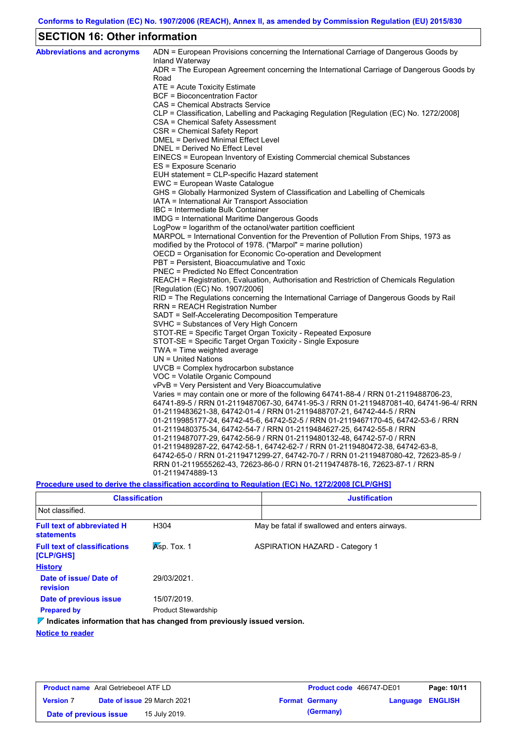# **SECTION 16: Other information**

| <b>Abbreviations and acronyms</b> | ADN = European Provisions concerning the International Carriage of Dangerous Goods by<br>Inland Waterway |
|-----------------------------------|----------------------------------------------------------------------------------------------------------|
|                                   | ADR = The European Agreement concerning the International Carriage of Dangerous Goods by<br>Road         |
|                                   | ATE = Acute Toxicity Estimate                                                                            |
|                                   | <b>BCF</b> = Bioconcentration Factor                                                                     |
|                                   | CAS = Chemical Abstracts Service                                                                         |
|                                   | CLP = Classification, Labelling and Packaging Regulation [Regulation (EC) No. 1272/2008]                 |
|                                   | CSA = Chemical Safety Assessment                                                                         |
|                                   | CSR = Chemical Safety Report                                                                             |
|                                   | DMEL = Derived Minimal Effect Level                                                                      |
|                                   | DNEL = Derived No Effect Level                                                                           |
|                                   | EINECS = European Inventory of Existing Commercial chemical Substances                                   |
|                                   | ES = Exposure Scenario                                                                                   |
|                                   | EUH statement = CLP-specific Hazard statement                                                            |
|                                   | EWC = European Waste Catalogue                                                                           |
|                                   | GHS = Globally Harmonized System of Classification and Labelling of Chemicals                            |
|                                   | IATA = International Air Transport Association                                                           |
|                                   | IBC = Intermediate Bulk Container                                                                        |
|                                   | IMDG = International Maritime Dangerous Goods                                                            |
|                                   | LogPow = logarithm of the octanol/water partition coefficient                                            |
|                                   | MARPOL = International Convention for the Prevention of Pollution From Ships, 1973 as                    |
|                                   | modified by the Protocol of 1978. ("Marpol" = marine pollution)                                          |
|                                   | OECD = Organisation for Economic Co-operation and Development                                            |
|                                   | PBT = Persistent, Bioaccumulative and Toxic                                                              |
|                                   | <b>PNEC = Predicted No Effect Concentration</b>                                                          |
|                                   | REACH = Registration, Evaluation, Authorisation and Restriction of Chemicals Regulation                  |
|                                   | [Regulation (EC) No. 1907/2006]                                                                          |
|                                   | RID = The Regulations concerning the International Carriage of Dangerous Goods by Rail                   |
|                                   | <b>RRN = REACH Registration Number</b>                                                                   |
|                                   | SADT = Self-Accelerating Decomposition Temperature                                                       |
|                                   | SVHC = Substances of Very High Concern                                                                   |
|                                   | STOT-RE = Specific Target Organ Toxicity - Repeated Exposure                                             |
|                                   | STOT-SE = Specific Target Organ Toxicity - Single Exposure                                               |
|                                   | TWA = Time weighted average                                                                              |
|                                   | UN = United Nations                                                                                      |
|                                   | $UVCB = Complex\;hydrocarbon\; substance$                                                                |
|                                   | VOC = Volatile Organic Compound<br>vPvB = Very Persistent and Very Bioaccumulative                       |
|                                   | Varies = may contain one or more of the following 64741-88-4 / RRN 01-2119488706-23,                     |
|                                   | 64741-89-5 / RRN 01-2119487067-30, 64741-95-3 / RRN 01-2119487081-40, 64741-96-4/ RRN                    |
|                                   | 01-2119483621-38, 64742-01-4 / RRN 01-2119488707-21, 64742-44-5 / RRN                                    |
|                                   | 01-2119985177-24, 64742-45-6, 64742-52-5 / RRN 01-2119467170-45, 64742-53-6 / RRN                        |
|                                   | 01-2119480375-34, 64742-54-7 / RRN 01-2119484627-25, 64742-55-8 / RRN                                    |
|                                   | 01-2119487077-29, 64742-56-9 / RRN 01-2119480132-48, 64742-57-0 / RRN                                    |
|                                   | 01-2119489287-22, 64742-58-1, 64742-62-7 / RRN 01-2119480472-38, 64742-63-8,                             |
|                                   | 64742-65-0 / RRN 01-2119471299-27, 64742-70-7 / RRN 01-2119487080-42, 72623-85-9 /                       |
|                                   | RRN 01-2119555262-43, 72623-86-0 / RRN 01-2119474878-16, 72623-87-1 / RRN                                |
|                                   | 01-2119474889-13                                                                                         |
|                                   |                                                                                                          |

**Procedure used to derive the classification according to Regulation (EC) No. 1272/2008 [CLP/GHS]**

| <b>Classification</b>                                                           |                            | <b>Justification</b>                          |
|---------------------------------------------------------------------------------|----------------------------|-----------------------------------------------|
| Not classified.                                                                 |                            |                                               |
| <b>Full text of abbreviated H</b><br><b>statements</b>                          | H304                       | May be fatal if swallowed and enters airways. |
| <b>Full text of classifications</b><br><b>[CLP/GHS]</b>                         | $Asp.$ Tox. 1              | <b>ASPIRATION HAZARD - Category 1</b>         |
| <b>History</b>                                                                  |                            |                                               |
| Date of issue/ Date of<br>revision                                              | 29/03/2021.                |                                               |
| Date of previous issue                                                          | 15/07/2019.                |                                               |
| <b>Prepared by</b>                                                              | <b>Product Stewardship</b> |                                               |
| $\nabla$ Indicates information that has changed from previously issued version. |                            |                                               |

**Notice to reader**

| <b>Product name</b> Aral Getriebeoel ATF LD |                                    | <b>Product code</b> 466747-DE01 |                  | Page: 10/11 |
|---------------------------------------------|------------------------------------|---------------------------------|------------------|-------------|
| <b>Version 7</b>                            | <b>Date of issue 29 March 2021</b> | <b>Format Germany</b>           | Language ENGLISH |             |
| Date of previous issue                      | 15 July 2019.                      | (Germany)                       |                  |             |